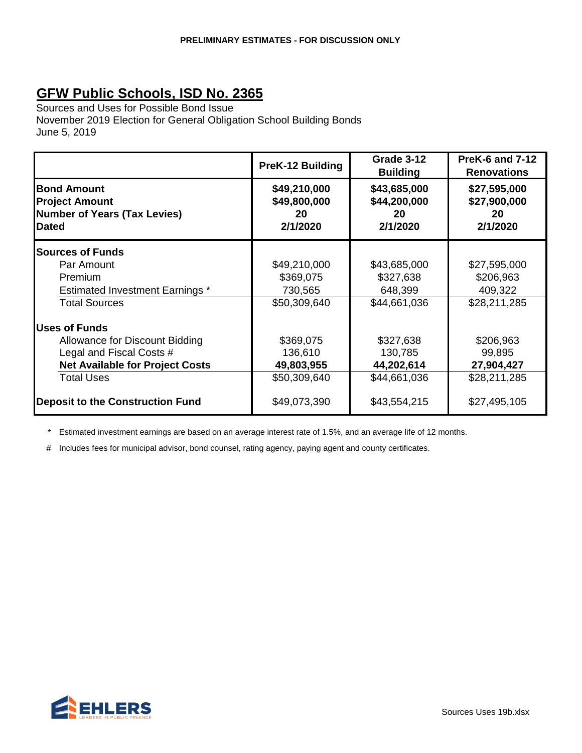Sources and Uses for Possible Bond Issue November 2019 Election for General Obligation School Building Bonds June 5, 2019

|                                                                                                    | PreK-12 Building                               | Grade 3-12<br><b>Building</b>                  | <b>PreK-6 and 7-12</b><br><b>Renovations</b>   |
|----------------------------------------------------------------------------------------------------|------------------------------------------------|------------------------------------------------|------------------------------------------------|
| <b>Bond Amount</b><br><b>Project Amount</b><br><b>Number of Years (Tax Levies)</b><br><b>Dated</b> | \$49,210,000<br>\$49,800,000<br>20<br>2/1/2020 | \$43,685,000<br>\$44,200,000<br>20<br>2/1/2020 | \$27,595,000<br>\$27,900,000<br>20<br>2/1/2020 |
| <b>Sources of Funds</b>                                                                            |                                                |                                                |                                                |
| Par Amount                                                                                         | \$49,210,000                                   | \$43,685,000                                   | \$27,595,000                                   |
| Premium                                                                                            | \$369,075                                      | \$327,638                                      | \$206,963                                      |
| <b>Estimated Investment Earnings *</b>                                                             | 730,565                                        | 648,399                                        | 409,322                                        |
| <b>Total Sources</b>                                                                               | \$50,309,640                                   | \$44,661,036                                   | \$28,211,285                                   |
| <b>Uses of Funds</b>                                                                               |                                                |                                                |                                                |
| Allowance for Discount Bidding                                                                     | \$369,075                                      | \$327,638                                      | \$206,963                                      |
| Legal and Fiscal Costs #                                                                           | 136,610                                        | 130,785                                        | 99,895                                         |
| <b>Net Available for Project Costs</b>                                                             | 49,803,955                                     | 44,202,614                                     | 27,904,427                                     |
| <b>Total Uses</b>                                                                                  | \$50,309,640                                   | \$44,661,036                                   | \$28,211,285                                   |
| <b>Deposit to the Construction Fund</b>                                                            | \$49,073,390                                   | \$43,554,215                                   | \$27,495,105                                   |

\* Estimated investment earnings are based on an average interest rate of 1.5%, and an average life of 12 months.

# Includes fees for municipal advisor, bond counsel, rating agency, paying agent and county certificates.

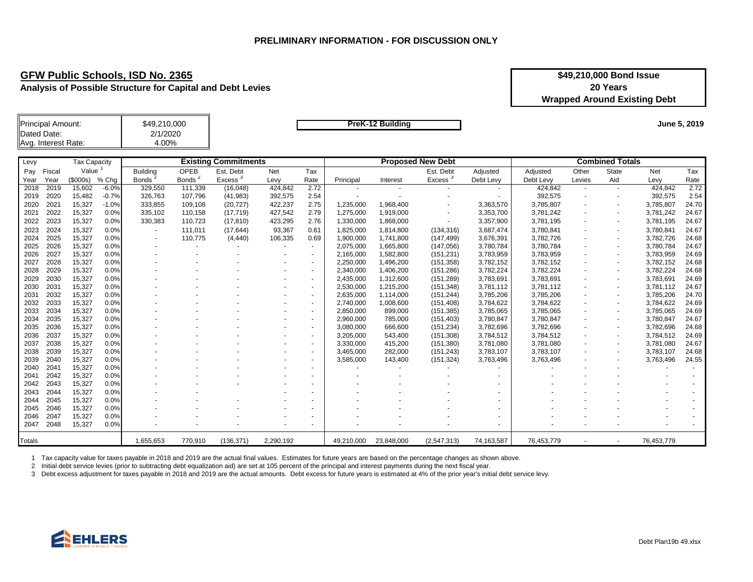**Analysis of Possible Structure for Capital and Debt Levies**

| \$49,210,000 Bond Issue             |  |  |  |  |  |
|-------------------------------------|--|--|--|--|--|
| 20 Years                            |  |  |  |  |  |
| <b>Wrapped Around Existing Debt</b> |  |  |  |  |  |

| Principal Amount:   | \$49,210,000 |
|---------------------|--------------|
| Dated Date:         | 2/1/2020     |
| Avg. Interest Rate: | 4.00%        |

**PreK-12 Building** 

**June 5, 2019**

| Levy          |        | Tax Capacity |         |                 |                    | <b>Existing Commitments</b> |           |                          |            |            | <b>Proposed New Debt</b> |            |            |                          | <b>Combined Totals</b>   |            |       |
|---------------|--------|--------------|---------|-----------------|--------------------|-----------------------------|-----------|--------------------------|------------|------------|--------------------------|------------|------------|--------------------------|--------------------------|------------|-------|
| Pay           | Fiscal | Value        |         | <b>Building</b> | <b>OPEB</b>        | Est. Debt                   | Net       | Tax                      |            |            | Est. Debt                | Adjusted   | Adjusted   | Other                    | <b>State</b>             | Net        | Tax   |
| Year          | Year   | \$000s)      | % Chg   | <b>Bonds</b>    | Bonds <sup>2</sup> | Excess                      | Levy      | Rate                     | Principal  | Interest   | Excess                   | Debt Levy  | Debt Levy  | Levies                   | Aid                      | Levy       | Rate  |
| 2018          | 2019   | 15,602       | $-6.0%$ | 329,550         | 111,339            | (16, 048)                   | 424,842   | 2.72                     |            |            |                          | $\sim$     | 424,842    |                          | $\overline{\phantom{a}}$ | 424,842    | 2.72  |
| 2019          | 2020   | 15,482       | $-0.7%$ | 326,763         | 107,796            | (41, 983)                   | 392,575   | 2.54                     |            |            |                          |            | 392,575    | $\sim$                   | $\overline{\phantom{a}}$ | 392,575    | 2.54  |
| 2020          | 2021   | 15,327       | $-1.0%$ | 333,855         | 109,108            | (20, 727)                   | 422,237   | 2.75                     | 1,235,000  | 1,968,400  |                          | 3,363,570  | 3,785,807  |                          |                          | 3,785,807  | 24.70 |
| 2021          | 2022   | 15,327       | 0.0%    | 335,102         | 110,158            | (17, 719)                   | 427,542   | 2.79                     | 1,275,000  | 1,919,000  |                          | 3,353,700  | 3,781,242  |                          |                          | 3,781,242  | 24.67 |
| 2022          | 2023   | 15,327       | 0.0%    | 330,383         | 110,723            | (17, 810)                   | 423,295   | 2.76                     | 1,330,000  | 1,868,000  | ۰                        | 3,357,900  | 3,781,195  |                          | $\overline{\phantom{a}}$ | 3,781,195  | 24.67 |
| 2023          | 2024   | 15,327       | 0.0%    |                 | 111,011            | (17, 644)                   | 93,367    | 0.61                     | 1,825,000  | 1,814,800  | (134, 316)               | 3,687,474  | 3,780,841  |                          |                          | 3,780,841  | 24.67 |
| 2024          | 2025   | 15,327       | 0.0%    |                 | 110,775            | (4, 440)                    | 106,335   | 0.69                     | 1,900,000  | 1,741,800  | (147, 499)               | 3,676,391  | 3,782,726  |                          |                          | 3,782,726  | 24.68 |
| 2025          | 2026   | 15,327       | 0.0%    |                 |                    |                             |           | $\sim$                   | 2,075,000  | 1,665,800  | (147, 056)               | 3,780,784  | 3,780,784  | $\overline{\phantom{a}}$ | $\overline{\phantom{a}}$ | 3,780,784  | 24.67 |
| 2026          | 2027   | 15,327       | 0.0%    |                 |                    |                             |           | $\sim$                   | 2,165,000  | 1,582,800  | (151, 231)               | 3,783,959  | 3,783,959  | $\blacksquare$           | $\overline{\phantom{a}}$ | 3,783,959  | 24.69 |
| 2027          | 2028   | 15,327       | 0.0%    |                 |                    |                             |           | $\blacksquare$           | 2,250,000  | 1,496,200  | (151, 358)               | 3,782,152  | 3,782,152  | ٠                        | $\overline{\phantom{a}}$ | 3,782,152  | 24.68 |
| 2028          | 2029   | 15,327       | 0.0%    |                 |                    |                             |           | $\blacksquare$           | 2,340,000  | 1,406,200  | (151, 286)               | 3,782,224  | 3,782,224  | ٠                        | $\sim$                   | 3,782,224  | 24.68 |
| 2029          | 2030   | 15,327       | 0.0%    |                 |                    |                             |           | $\sim$                   | 2,435,000  | 1,312,600  | (151, 289)               | 3,783,691  | 3,783,691  |                          | $\sim$                   | 3,783,691  | 24.69 |
| 2030          | 2031   | 15,327       | 0.0%    |                 |                    |                             |           | $\sim$                   | 2,530,000  | 1,215,200  | (151, 348)               | 3,781,112  | 3,781,112  | $\overline{\phantom{a}}$ | $\sim$                   | 3,781,112  | 24.67 |
| 2031          | 2032   | 15,327       | 0.0%    |                 |                    |                             |           | $\sim$                   | 2,635,000  | 1,114,000  | (151, 244)               | 3,785,206  | 3,785,206  |                          | $\overline{\phantom{a}}$ | 3,785,206  | 24.70 |
| 2032          | 2033   | 15,327       | 0.0%    |                 |                    |                             |           |                          | 2,740,000  | 1,008,600  | (151, 408)               | 3,784,622  | 3,784,622  |                          |                          | 3,784,622  | 24.69 |
| 2033          | 2034   | 15,327       | 0.0%    |                 |                    |                             |           | $\overline{\phantom{a}}$ | 2,850,000  | 899,000    | (151, 385)               | 3,785,065  | 3,785,065  |                          |                          | 3,785,065  | 24.69 |
| 2034          | 2035   | 15,327       | 0.0%    |                 |                    |                             |           |                          | 2,960,000  | 785,000    | (151, 403)               | 3,780,847  | 3,780,847  |                          |                          | 3,780,847  | 24.67 |
| 2035          | 2036   | 15,327       | 0.0%    |                 |                    |                             |           | ٠                        | 3,080,000  | 666,600    | (151, 234)               | 3,782,696  | 3,782,696  |                          | $\overline{\phantom{a}}$ | 3,782,696  | 24.68 |
| 2036          | 2037   | 15,327       | 0.0%    |                 |                    |                             |           | $\sim$                   | 3,205,000  | 543,400    | (151, 308)               | 3,784,512  | 3,784,512  |                          | $\overline{\phantom{a}}$ | 3,784,512  | 24.69 |
| 2037          | 2038   | 15,327       | 0.0%    |                 |                    |                             |           | $\sim$                   | 3,330,000  | 415,200    | (151, 380)               | 3,781,080  | 3,781,080  |                          | $\overline{\phantom{a}}$ | 3,781,080  | 24.67 |
| 2038          | 2039   | 15,327       | 0.0%    |                 |                    |                             |           | $\sim$                   | 3,465,000  | 282,000    | (151, 243)               | 3,783,107  | 3,783,107  |                          | $\overline{\phantom{a}}$ | 3,783,107  | 24.68 |
| 2039          | 2040   | 15,327       | 0.0%    |                 |                    |                             |           | ٠                        | 3,585,000  | 143,400    | (151, 324)               | 3,763,496  | 3,763,496  |                          |                          | 3,763,496  | 24.55 |
| 2040          | 2041   | 15,327       | 0.0%    |                 |                    |                             |           | $\sim$                   |            |            |                          |            |            |                          |                          |            |       |
| 2041          | 2042   | 15,327       | 0.0%    |                 |                    |                             |           |                          |            |            |                          |            |            |                          |                          |            |       |
| 2042          | 2043   | 15,327       | 0.0%    |                 |                    |                             |           |                          |            |            |                          |            |            |                          |                          |            |       |
| 2043          | 2044   | 15,327       | 0.0%    |                 |                    |                             |           | $\overline{\phantom{a}}$ |            |            |                          |            |            |                          |                          |            |       |
| 2044          | 2045   | 15,327       | 0.0%    |                 |                    |                             |           | $\overline{\phantom{a}}$ |            |            |                          |            |            |                          |                          |            |       |
| 2045          | 2046   | 15,327       | 0.0%    |                 |                    |                             |           | $\sim$                   |            |            |                          | $\sim$     |            |                          |                          |            |       |
| 2046          | 2047   | 15,327       | 0.0%    |                 |                    |                             |           |                          |            |            |                          |            |            |                          |                          |            |       |
| 2047          | 2048   | 15,327       | 0.0%    |                 |                    |                             |           |                          |            |            |                          |            |            |                          |                          |            |       |
| <b>Totals</b> |        |              |         | 1,655,653       | 770,910            | (136, 371)                  | 2.290.192 |                          | 49.210.000 | 23,848,000 | (2,547,313)              | 74,163,587 | 76.453.779 |                          |                          | 76.453.779 |       |

1 Tax capacity value for taxes payable in 2018 and 2019 are the actual final values. Estimates for future years are based on the percentage changes as shown above.

2 Initial debt service levies (prior to subtracting debt equalization aid) are set at 105 percent of the principal and interest payments during the next fiscal year.

3 Debt excess adjustment for taxes payable in 2018 and 2019 are the actual amounts. Debt excess for future years is estimated at 4% of the prior year's initial debt service levy.

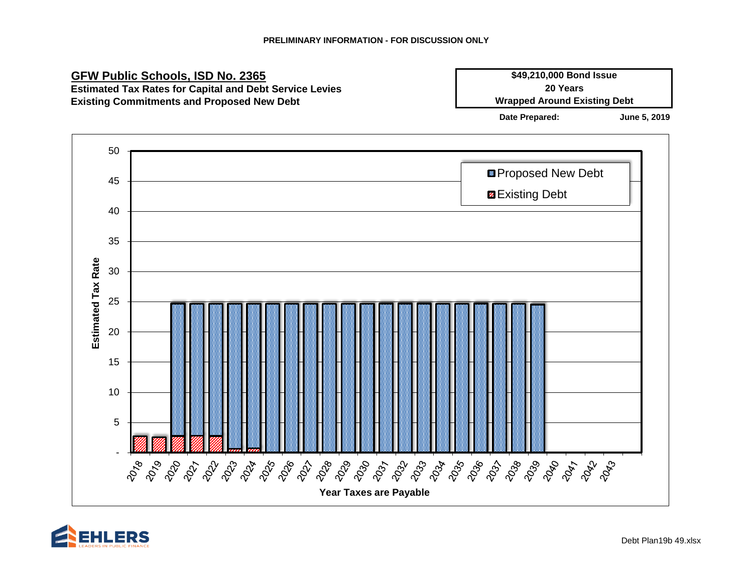

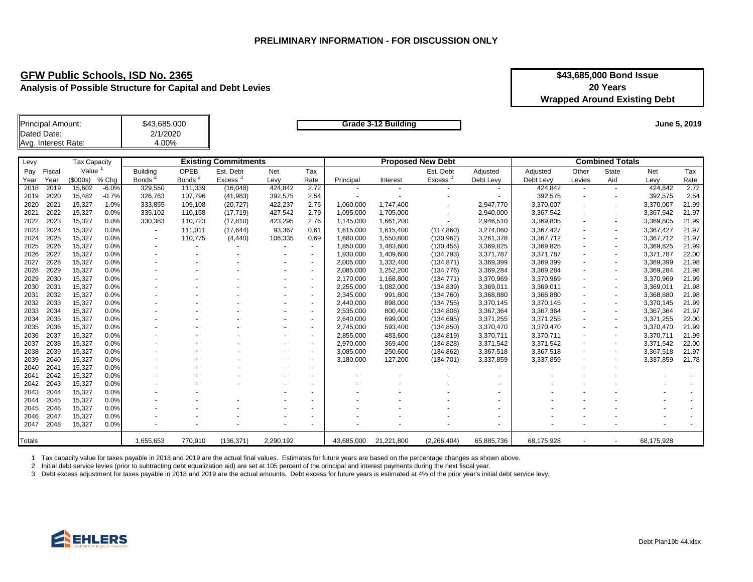**Analysis of Possible Structure for Capital and Debt Levies**

| \$43,685,000 Bond Issue             |
|-------------------------------------|
| 20 Years                            |
| <b>Wrapped Around Existing Debt</b> |

| Principal Amount:   | \$43,685,000 |
|---------------------|--------------|
| Dated Date:         | 2/1/2020     |
| Avg. Interest Rate: | 4.00%        |

**Grade 3-12 Building**

**June 5, 2019**

| Levy          | <b>Tax Capacity</b> |                |         |                 |                   | <b>Existing Commitments</b> |           |                          |            | <b>Proposed New Debt</b> |             |            |            | <b>Combined Totals</b>   |       |            |       |
|---------------|---------------------|----------------|---------|-----------------|-------------------|-----------------------------|-----------|--------------------------|------------|--------------------------|-------------|------------|------------|--------------------------|-------|------------|-------|
| Pay           | Fiscal              | Value          |         | <b>Building</b> | OPEB              | Est. Debt                   | Net       | Tax                      |            |                          | Est. Debt   | Adjusted   | Adjusted   | Other                    | State | Net        | Tax   |
| Year          | Year                | $($ \$000s $)$ | % Chq   | <b>Bonds</b>    | 2<br><b>Bonds</b> | ు<br>Excess                 | Levy      | Rate                     | Principal  | Interest                 | Excess      | Debt Levv  | Debt Levy  | Levies                   | Aid   | Levy       | Rate  |
| 2018          | 2019                | 15,602         | $-6.0%$ | 329,550         | 111,339           | (16,048)                    | 424,842   | 2.72                     |            |                          |             |            | 424,842    |                          |       | 424,842    | 2.72  |
| 2019          | 2020                | 15,482         | $-0.7%$ | 326,763         | 107,796           | (41, 983)                   | 392,575   | 2.54                     |            |                          |             |            | 392,575    |                          |       | 392,575    | 2.54  |
| 2020          | 2021                | 15,327         | $-1.0%$ | 333,855         | 109,108           | (20, 727)                   | 422,237   | 2.75                     | 1,060,000  | 1,747,400                |             | 2,947,770  | 3,370,007  | $\overline{\phantom{a}}$ |       | 3,370,007  | 21.99 |
| 2021          | 2022                | 15,327         | 0.0%    | 335,102         | 110,158           | (17, 719)                   | 427,542   | 2.79                     | 1,095,000  | 1,705,000                |             | 2,940,000  | 3,367,542  |                          |       | 3,367,542  | 21.97 |
| 2022          | 2023                | 15,327         | 0.0%    | 330,383         | 110,723           | (17, 810)                   | 423,295   | 2.76                     | 1,145,000  | 1,661,200                | $\sim$      | 2,946,510  | 3,369,805  |                          |       | 3,369,805  | 21.99 |
| 2023          | 2024                | 15,327         | 0.0%    |                 | 111,011           | (17, 644)                   | 93,367    | 0.61                     | 1,615,000  | 1,615,400                | (117, 860)  | 3,274,060  | 3,367,427  | $\overline{\phantom{a}}$ |       | 3,367,427  | 21.97 |
| 2024          | 2025                | 15,327         | 0.0%    |                 | 110,775           | (4, 440)                    | 106,335   | 0.69                     | 1,680,000  | 1,550,800                | (130, 962)  | 3,261,378  | 3,367,712  |                          |       | 3,367,712  | 21.97 |
| 2025          | 2026                | 15,327         | 0.0%    |                 |                   |                             |           | $\sim$                   | 1,850,000  | 1,483,600                | (130, 455)  | 3,369,825  | 3,369,825  |                          |       | 3,369,825  | 21.99 |
| 2026          | 2027                | 15,327         | 0.0%    |                 |                   |                             |           | ۰                        | 1,930,000  | 1,409,600                | (134, 793)  | 3,371,787  | 3,371,787  |                          |       | 3,371,787  | 22.00 |
| 2027          | 2028                | 15,327         | 0.0%    |                 |                   |                             |           | $\overline{\phantom{a}}$ | 2,005,000  | 1,332,400                | (134, 871)  | 3,369,399  | 3,369,399  |                          |       | 3,369,399  | 21.98 |
| 2028          | 2029                | 15,327         | 0.0%    |                 |                   |                             |           | ٠                        | 2,085,000  | 1,252,200                | (134, 776)  | 3,369,284  | 3,369,284  |                          |       | 3,369,284  | 21.98 |
| 2029          | 2030                | 15,327         | 0.0%    |                 |                   |                             |           | ٠                        | 2,170,000  | 1,168,800                | (134, 771)  | 3,370,969  | 3,370,969  |                          |       | 3,370,969  | 21.99 |
| 2030          | 2031                | 15,327         | 0.0%    |                 |                   |                             |           | ۰                        | 2,255,000  | 1,082,000                | (134, 839)  | 3,369,011  | 3,369,011  |                          |       | 3,369,011  | 21.98 |
| 2031          | 2032                | 15,327         | 0.0%    |                 |                   |                             |           | $\blacksquare$           | 2,345,000  | 991,800                  | (134,760)   | 3,368,880  | 3,368,880  |                          |       | 3,368,880  | 21.98 |
| 2032          | 2033                | 15,327         | 0.0%    |                 |                   |                             |           | $\sim$                   | 2,440,000  | 898,000                  | (134, 755)  | 3,370,145  | 3,370,145  |                          |       | 3,370,145  | 21.99 |
| 2033          | 2034                | 15,327         | 0.0%    |                 |                   |                             |           | $\sim$                   | 2,535,000  | 800,400                  | (134, 806)  | 3,367,364  | 3,367,364  | $\overline{\phantom{a}}$ |       | 3,367,364  | 21.97 |
| 2034          | 2035                | 15,327         | 0.0%    |                 |                   |                             |           | $\sim$                   | 2,640,000  | 699,000                  | (134, 695)  | 3,371,255  | 3,371,255  | $\overline{\phantom{a}}$ |       | 3,371,255  | 22.00 |
| 2035          | 2036                | 15,327         | 0.0%    |                 |                   |                             |           | $\blacksquare$           | 2,745,000  | 593,400                  | (134, 850)  | 3,370,470  | 3,370,470  | $\overline{\phantom{a}}$ |       | 3,370,470  | 21.99 |
| 2036          | 2037                | 15,327         | 0.0%    |                 |                   |                             |           |                          | 2,855,000  | 483,600                  | (134, 819)  | 3,370,711  | 3,370,711  |                          |       | 3,370,711  | 21.99 |
| 2037          | 2038                | 15,327         | 0.0%    |                 |                   |                             |           |                          | 2,970,000  | 369,400                  | (134, 828)  | 3,371,542  | 3,371,542  |                          |       | 3,371,542  | 22.00 |
| 2038          | 2039                | 15,327         | 0.0%    |                 |                   |                             |           | $\overline{\phantom{a}}$ | 3,085,000  | 250,600                  | (134, 862)  | 3,367,518  | 3,367,518  |                          |       | 3,367,518  | 21.97 |
| 2039          | 2040                | 15,327         | 0.0%    |                 |                   |                             |           | ٠                        | 3,180,000  | 127,200                  | (134, 701)  | 3,337,859  | 3,337,859  |                          |       | 3,337,859  | 21.78 |
| 2040          | 2041                | 15,327         | 0.0%    |                 |                   |                             |           |                          |            |                          |             |            |            |                          |       |            |       |
| 2041          | 2042                | 15,327         | 0.0%    |                 |                   |                             |           |                          |            |                          |             |            |            |                          |       |            |       |
| 2042          | 2043                | 15,327         | 0.0%    |                 |                   |                             |           |                          |            |                          |             |            |            |                          |       |            |       |
| 2043          | 2044                | 15,327         | 0.0%    |                 |                   |                             |           |                          |            |                          |             |            |            |                          |       |            |       |
| 2044          | 2045                | 15,327         | 0.0%    |                 |                   |                             |           |                          |            |                          |             |            |            |                          |       |            |       |
| 2045          | 2046                | 15,327         | 0.0%    |                 |                   |                             |           |                          |            |                          |             |            |            |                          |       |            |       |
| 2046          | 2047                | 15,327         | 0.0%    |                 |                   |                             |           |                          |            |                          |             |            |            |                          |       |            |       |
| 2047          | 2048                | 15,327         | 0.0%    |                 |                   |                             |           |                          |            |                          |             | ٠          |            |                          |       |            |       |
| <b>Totals</b> |                     |                |         | 1,655,653       | 770,910           | (136, 371)                  | 2.290.192 |                          | 43.685.000 | 21.221.800               | (2.266.404) | 65.885.736 | 68.175.928 |                          |       | 68,175,928 |       |

1 Tax capacity value for taxes payable in 2018 and 2019 are the actual final values. Estimates for future years are based on the percentage changes as shown above.

2 Initial debt service levies (prior to subtracting debt equalization aid) are set at 105 percent of the principal and interest payments during the next fiscal year.

3 Debt excess adjustment for taxes payable in 2018 and 2019 are the actual amounts. Debt excess for future years is estimated at 4% of the prior year's initial debt service levy.

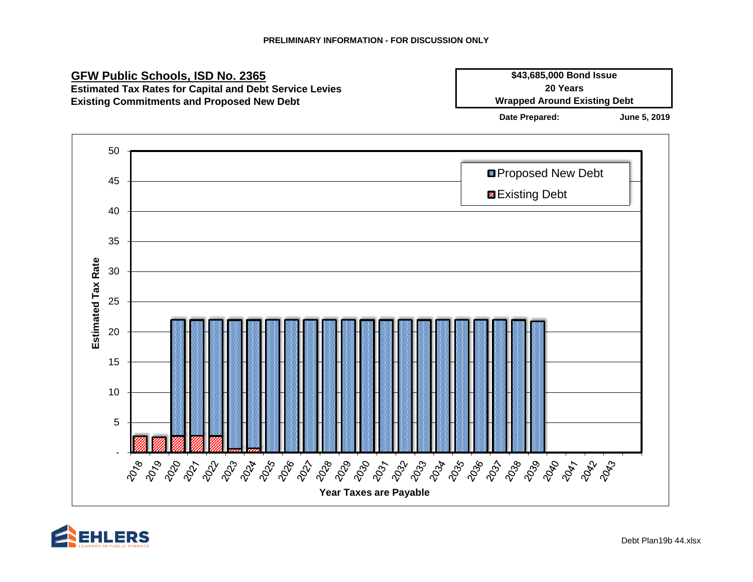

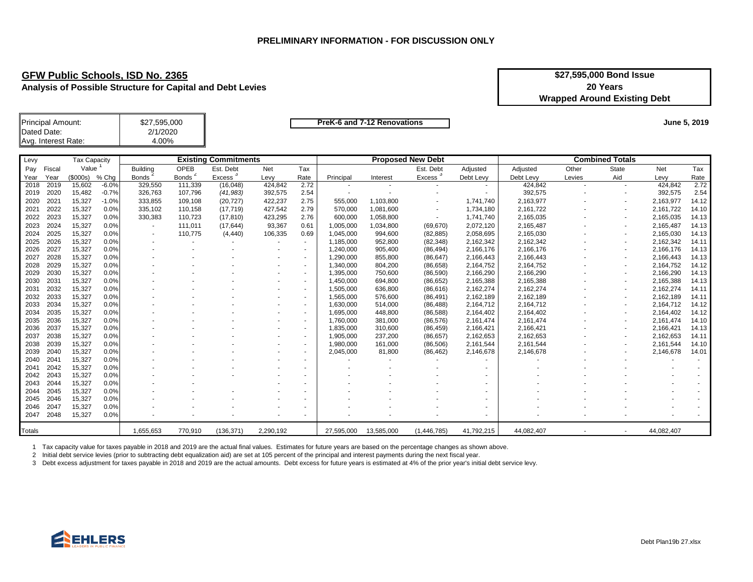**Analysis of Possible Structure for Capital and Debt Levies**

| \$27,595,000 Bond Issue             |
|-------------------------------------|
| 20 Years                            |
| <b>Wrapped Around Existing Debt</b> |

| Principal Amount:   | \$27,595,000 |
|---------------------|--------------|
| Dated Date:         | 2/1/2020     |
| Avg. Interest Rate: | 4.00%        |

**PreK-6 and 7-12 Renovations** 

**June 5, 2019**

| Levy   |        | <b>Tax Capacity</b> |         |                 |              | <b>Existing Commitments</b> |           |                          |            |            | <b>Proposed New Debt</b> |            |            |                          | <b>Combined Totals</b> |            |       |
|--------|--------|---------------------|---------|-----------------|--------------|-----------------------------|-----------|--------------------------|------------|------------|--------------------------|------------|------------|--------------------------|------------------------|------------|-------|
| Pay    | Fiscal | Value               |         | <b>Building</b> | OPEB         | Est. Debt                   | Net       | Tax                      |            |            | Est. Debt                | Adjusted   | Adjusted   | Other                    | <b>State</b>           | Net        | Tax   |
| Year   | Year   | (\$000s)            | % Chg   | <b>Bonds</b>    | <b>Bonds</b> | Excess <sup>3</sup>         | Levy      | Rate                     | Principal  | Interest   | Excess <sup>3</sup>      | Debt Levy  | Debt Levy  | Levies                   | Aid                    | Levy       | Rate  |
| 2018   | 2019   | 15,602              | $-6.0%$ | 329,550         | 111,339      | (16, 048)                   | 424,842   | 2.72                     |            | ٠          |                          |            | 424,842    | $\overline{\phantom{a}}$ |                        | 424,842    | 2.72  |
| 2019   | 2020   | 15,482              | $-0.7%$ | 326,763         | 107,796      | (41, 983)                   | 392,575   | 2.54                     |            |            |                          |            | 392,575    |                          |                        | 392,575    | 2.54  |
| 2020   | 2021   | 15,327              | $-1.0%$ | 333,855         | 109,108      | (20, 727)                   | 422,237   | 2.75                     | 555,000    | 1,103,800  |                          | 1,741,740  | 2,163,977  |                          |                        | 2,163,977  | 14.12 |
| 2021   | 2022   | 15,327              | 0.0%    | 335,102         | 110,158      | (17, 719)                   | 427,542   | 2.79                     | 570,000    | 1,081,600  |                          | 1,734,180  | 2,161,722  |                          |                        | 2,161,722  | 14.10 |
| 2022   | 2023   | 15,327              | 0.0%    | 330,383         | 110,723      | (17, 810)                   | 423,295   | 2.76                     | 600,000    | 1,058,800  | $\sim$                   | 1,741,740  | 2,165,035  |                          | ۰                      | 2,165,035  | 14.13 |
| 2023   | 2024   | 15,327              | 0.0%    |                 | 111,011      | (17, 644)                   | 93,367    | 0.61                     | 1,005,000  | 1,034,800  | (69, 670)                | 2,072,120  | 2,165,487  |                          |                        | 2,165,487  | 14.13 |
| 2024   | 2025   | 15,327              | 0.0%    |                 | 110,775      | (4, 440)                    | 106,335   | 0.69                     | 1,045,000  | 994,600    | (82, 885)                | 2,058,695  | 2,165,030  |                          | ٠                      | 2,165,030  | 14.13 |
| 2025   | 2026   | 15,327              | 0.0%    |                 |              |                             |           |                          | 1,185,000  | 952,800    | (82, 348)                | 2,162,342  | 2,162,342  |                          | ٠                      | 2,162,342  | 14.11 |
| 2026   | 2027   | 15,327              | 0.0%    |                 |              |                             |           |                          | 1,240,000  | 905,400    | (86, 494)                | 2,166,176  | 2,166,176  |                          |                        | 2,166,176  | 14.13 |
| 2027   | 2028   | 15,327              | 0.0%    |                 |              |                             |           |                          | 1,290,000  | 855,800    | (86, 647)                | 2,166,443  | 2,166,443  |                          |                        | 2,166,443  | 14.13 |
| 2028   | 2029   | 15,327              | 0.0%    |                 |              |                             |           |                          | 1,340,000  | 804,200    | (86, 658)                | 2,164,752  | 2,164,752  |                          | ٠                      | 2,164,752  | 14.12 |
| 2029   | 2030   | 15,327              | 0.0%    |                 |              |                             |           |                          | 1,395,000  | 750,600    | (86, 590)                | 2,166,290  | 2,166,290  |                          | ۰                      | 2,166,290  | 14.13 |
| 2030   | 2031   | 15,327              | 0.0%    |                 |              |                             |           |                          | 1,450,000  | 694,800    | (86, 652)                | 2,165,388  | 2,165,388  |                          |                        | 2,165,388  | 14.13 |
| 2031   | 2032   | 15,327              | 0.0%    |                 |              |                             |           | ٠                        | 1,505,000  | 636,800    | (86, 616)                | 2,162,274  | 2,162,274  |                          | ۰                      | 2,162,274  | 14.11 |
| 2032   | 2033   | 15,327              | 0.0%    |                 |              |                             |           |                          | 1,565,000  | 576,600    | (86, 491)                | 2,162,189  | 2,162,189  |                          | ۰                      | 2,162,189  | 14.11 |
| 2033   | 2034   | 15,327              | 0.0%    |                 |              |                             |           |                          | 1,630,000  | 514,000    | (86, 488)                | 2,164,712  | 2,164,712  |                          |                        | 2,164,712  | 14.12 |
| 2034   | 2035   | 15,327              | 0.0%    |                 |              |                             |           |                          | 1,695,000  | 448,800    | (86, 588)                | 2,164,402  | 2,164,402  |                          | ۰                      | 2,164,402  | 14.12 |
| 2035   | 2036   | 15,327              | 0.0%    |                 |              |                             |           |                          | 1,760,000  | 381,000    | (86, 576)                | 2,161,474  | 2,161,474  |                          |                        | 2,161,474  | 14.10 |
| 2036   | 2037   | 15,327              | 0.0%    |                 |              |                             |           |                          | 1,835,000  | 310,600    | (86, 459)                | 2,166,421  | 2,166,421  |                          |                        | 2,166,421  | 14.13 |
| 2037   | 2038   | 15,327              | 0.0%    |                 |              |                             |           | $\overline{\phantom{a}}$ | 1,905,000  | 237,200    | (86, 657)                | 2,162,653  | 2,162,653  |                          |                        | 2,162,653  | 14.11 |
| 2038   | 2039   | 15,327              | 0.0%    |                 |              |                             |           | $\overline{\phantom{a}}$ | 1,980,000  | 161,000    | (86, 506)                | 2,161,544  | 2,161,544  |                          |                        | 2,161,544  | 14.10 |
| 2039   | 2040   | 15,327              | 0.0%    |                 |              |                             |           | ۰                        | 2,045,000  | 81,800     | (86, 462)                | 2,146,678  | 2,146,678  |                          |                        | 2,146,678  | 14.01 |
| 2040   | 2041   | 15,327              | 0.0%    |                 |              |                             |           | ٠                        |            |            |                          |            |            |                          |                        |            |       |
| 2041   | 2042   | 15,327              | 0.0%    |                 |              |                             |           |                          |            |            |                          |            |            |                          |                        |            |       |
| 2042   | 2043   | 15,327              | 0.0%    |                 |              |                             |           |                          |            |            |                          |            |            |                          |                        |            |       |
| 2043   | 2044   | 15,327              | 0.0%    |                 |              |                             |           |                          |            |            |                          |            |            |                          |                        |            |       |
| 2044   | 2045   | 15,327              | 0.0%    |                 |              |                             |           |                          |            |            |                          |            |            |                          |                        |            |       |
| 2045   | 2046   | 15,327              | 0.0%    |                 |              |                             |           |                          |            |            |                          |            |            |                          |                        |            |       |
| 2046   | 2047   | 15,327              | 0.0%    |                 |              |                             |           |                          |            |            |                          |            |            |                          |                        |            |       |
| 2047   | 2048   | 15,327              | 0.0%    |                 |              |                             |           |                          |            |            |                          |            |            |                          |                        |            |       |
| Totals |        |                     |         | 1.655.653       | 770,910      | (136, 371)                  | 2.290.192 |                          | 27,595,000 | 13,585,000 | (1, 446, 785)            | 41.792.215 | 44.082.407 |                          |                        | 44.082.407 |       |

1 Tax capacity value for taxes payable in 2018 and 2019 are the actual final values. Estimates for future years are based on the percentage changes as shown above.

2 Initial debt service levies (prior to subtracting debt equalization aid) are set at 105 percent of the principal and interest payments during the next fiscal year.

3 Debt excess adjustment for taxes payable in 2018 and 2019 are the actual amounts. Debt excess for future years is estimated at 4% of the prior year's initial debt service levy.

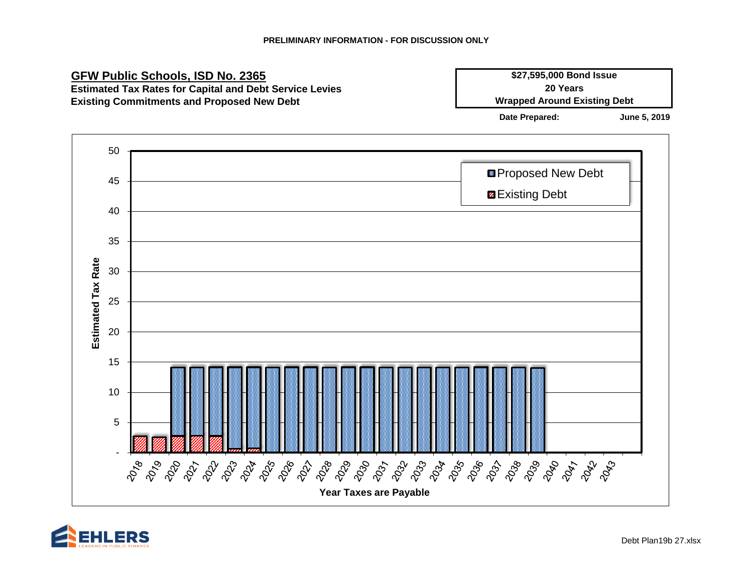